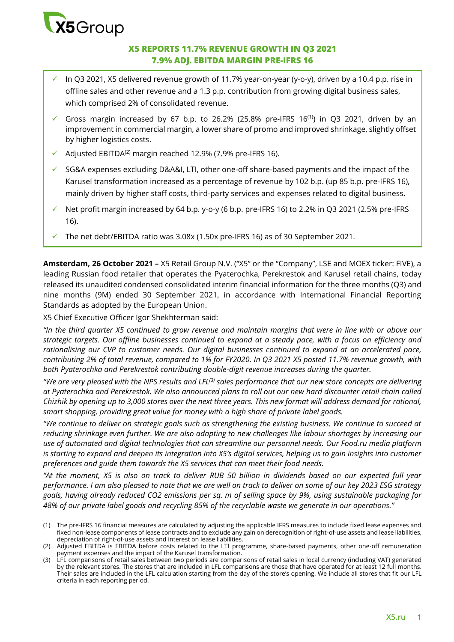

## **X5 REPORTS 11.7% REVENUE GROWTH IN Q3 2021 7.9% ADJ. EBITDA MARGIN PRE-IFRS 16**

- In Q3 2021, X5 delivered revenue growth of 11.7% year-on-year (y-o-y), driven by a 10.4 p.p. rise in offline sales and other revenue and a 1.3 p.p. contribution from growing digital business sales, which comprised 2% of consolidated revenue.
- Gross margin increased by 67 b.p. to 26.2% (25.8% pre-IFRS  $16^{(1)}$ ) in Q3 2021, driven by an improvement in commercial margin, a lower share of promo and improved shrinkage, slightly offset by higher logistics costs.
- $\checkmark$  Adjusted EBITDA<sup>(2)</sup> margin reached 12.9% (7.9% pre-IFRS 16).
- SG&A expenses excluding D&A&I, LTI, other one-off share-based payments and the impact of the Karusel transformation increased as a percentage of revenue by 102 b.p. (up 85 b.p. pre-IFRS 16), mainly driven by higher staff costs, third-party services and expenses related to digital business.
- Net profit margin increased by 64 b.p. y-o-y (6 b.p. pre-IFRS 16) to 2.2% in Q3 2021 (2.5% pre-IFRS 16).
- The net debt/EBITDA ratio was 3.08x (1.50x pre-IFRS 16) as of 30 September 2021.

**Amsterdam, 26 October 2021 –** X5 Retail Group N.V. ("X5" or the "Company", LSE and MOEX ticker: FIVE), a leading Russian food retailer that operates the Pyaterochka, Perekrestok and Karusel retail chains, today released its unaudited condensed consolidated interim financial information for the three months (Q3) and nine months (9M) ended 30 September 2021, in accordance with International Financial Reporting Standards as adopted by the European Union.

X5 Chief Executive Officer Igor Shekhterman said:

*"In the third quarter X5 continued to grow revenue and maintain margins that were in line with or above our strategic targets. Our offline businesses continued to expand at a steady pace, with a focus on efficiency and rationalising our CVP to customer needs. Our digital businesses continued to expand at an accelerated pace, contributing 2% of total revenue, compared to 1% for FY2020. In Q3 2021 X5 posted 11.7% revenue growth, with both Pyaterochka and Perekrestok contributing double-digit revenue increases during the quarter.* 

*"We are very pleased with the NPS results and LFL(3) sales performance that our new store concepts are delivering at Pyaterochka and Perekrestok. We also announced plans to roll out our new hard discounter retail chain called Chizhik by opening up to 3,000 stores over the next three years. This new format will address demand for rational, smart shopping, providing great value for money with a high share of private label goods.* 

*"We continue to deliver on strategic goals such as strengthening the existing business. We continue to succeed at reducing shrinkage even further. We are also adapting to new challenges like labour shortages by increasing our use of automated and digital technologies that can streamline our personnel needs. Our Food.ru media platform is starting to expand and deepen its integration into X5's digital services, helping us to gain insights into customer preferences and guide them towards the X5 services that can meet their food needs.* 

*"At the moment, X5 is also on track to deliver RUB 50 billion in dividends based on our expected full year performance. I am also pleased to note that we are well on track to deliver on some of our key 2023 ESG strategy goals, having already reduced CO2 emissions per sq. m of selling space by 9%, using sustainable packaging for 48% of our private label goods and recycling 85% of the recyclable waste we generate in our operations."* 

<sup>(1)</sup> The pre-IFRS 16 financial measures are calculated by adjusting the applicable IFRS measures to include fixed lease expenses and fixed non-lease components of lease contracts and to exclude any gain on derecognition of right-of-use assets and lease liabilities, depreciation of right-of-use assets and interest on lease liabilities.

<sup>(2)</sup> Adjusted EBITDA is EBITDA before costs related to the LTI programme, share-based payments, other one-off remuneration payment expenses and the impact of the Karusel transformation.

<sup>(3)</sup> LFL comparisons of retail sales between two periods are comparisons of retail sales in local currency (including VAT) generated by the relevant stores. The stores that are included in LFL comparisons are those that have operated for at least 12 full months. Their sales are included in the LFL calculation starting from the day of the store's opening. We include all stores that fit our LFL criteria in each reporting period.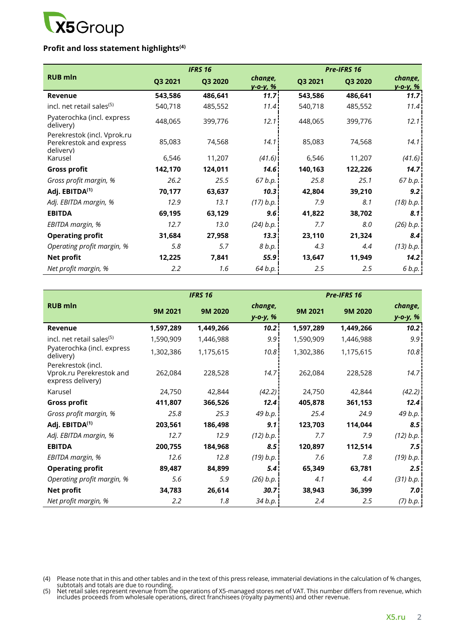

# **Profit and loss statement highlights(4)**

|                                                                     |         | <b>IFRS 16</b> |                            | <b>Pre-IFRS 16</b> |         |                            |
|---------------------------------------------------------------------|---------|----------------|----------------------------|--------------------|---------|----------------------------|
| <b>RUB mln</b>                                                      | Q3 2021 | Q3 2020        | change,<br><u>v-o-v, %</u> | Q3 2021            | Q3 2020 | change,<br><u>v-o-v, %</u> |
| Revenue                                                             | 543,586 | 486,641        | 11.7                       | 543,586            | 486,641 | 11.7                       |
| incl. net retail sales <sup>(5)</sup>                               | 540,718 | 485,552        | 11.4 <sup>1</sup>          | 540,718            | 485,552 | 11.4                       |
| Pyaterochka (incl. express<br>delivery)                             | 448,065 | 399,776        | 12.1                       | 448,065            | 399,776 | 12.1                       |
| Perekrestok (incl. Vprok.ru<br>Perekrestok and express<br>delivery) | 85,083  | 74,568         | 14.1                       | 85,083             | 74,568  | 14.1                       |
| Karusel                                                             | 6,546   | 11,207         | (41.6)                     | 6,546              | 11,207  | (41.6)                     |
| <b>Gross profit</b>                                                 | 142,170 | 124,011        | 14.6                       | 140,163            | 122,226 | 14.7                       |
| Gross profit margin, %                                              | 26.2    | 25.5           | 67 b.p.                    | 25.8               | 25.1    | 67 b.p.                    |
| Adj. EBITDA <sup>(1)</sup>                                          | 70,177  | 63,637         | 10.3                       | 42,804             | 39,210  | 9.2                        |
| Adj. EBITDA margin, %                                               | 12.9    | 13.1           | (17) b.p.                  | 7.9                | 8.1     | (18) b.p.                  |
| <b>EBITDA</b>                                                       | 69,195  | 63,129         | 9.6                        | 41,822             | 38,702  | 8.1                        |
| EBITDA margin, %                                                    | 12.7    | 13.0           | (24) b.p.                  | 7.7                | 8.0     | (26) b.p.                  |
| <b>Operating profit</b>                                             | 31,684  | 27,958         | 13.3                       | 23,110             | 21,324  | 8.4                        |
| Operating profit margin, %                                          | 5.8     | 5.7            | 8 b.p.                     | 4.3                | 4.4     | (13) b.p.                  |
| <b>Net profit</b>                                                   | 12,225  | 7,841          | 55.9 <sub>1</sub>          | 13,647             | 11,949  | 14.2                       |
| Net profit margin, %                                                | 2.2     | 1.6            | 64 b.p.                    | 2.5                | 2.5     | 6 b.p.                     |

|                                                                     |           | <b>IFRS 16</b> |                   |           | Pre-IFRS 16 |           |
|---------------------------------------------------------------------|-----------|----------------|-------------------|-----------|-------------|-----------|
| <b>RUB mln</b>                                                      | 9M 2021   | 9M 2020        | change,           | 9M 2021   | 9M 2020     | change,   |
|                                                                     |           |                | y-o-y, %          |           |             | y-o-y, %  |
| Revenue                                                             | 1,597,289 | 1,449,266      | 10.2              | 1,597,289 | 1,449,266   | 10.2      |
| incl. net retail sales <sup>(5)</sup>                               | 1,590,909 | 1,446,988      | 9.9               | 1,590,909 | 1,446,988   | 9.9       |
| Pyaterochka (incl. express<br>delivery)                             | 1,302,386 | 1,175,615      | 10.8              | 1,302,386 | 1,175,615   | 10.8      |
| Perekrestok (incl.<br>Vprok.ru Perekrestok and<br>express delivery) | 262,084   | 228,528        | 14.7              | 262,084   | 228,528     | 14.7      |
| Karusel                                                             | 24,750    | 42,844         | (42.2)            | 24,750    | 42,844      | (42.2)    |
| <b>Gross profit</b>                                                 | 411,807   | 366,526        | 12.4 <sup>1</sup> | 405,878   | 361,153     | 12.4      |
| Gross profit margin, %                                              | 25.8      | 25.3           | 49 b.p.           | 25.4      | 24.9        | 49 b.p.   |
| Adj. EBITDA <sup>(1)</sup>                                          | 203,561   | 186,498        | 9.1               | 123,703   | 114,044     | 8.5       |
| Adj. EBITDA margin, %                                               | 12.7      | 12.9           | (12) b.p.         | 7.7       | 7.9         | (12) b.p. |
| <b>EBITDA</b>                                                       | 200,755   | 184,968        | 8.5               | 120,897   | 112,514     | 7.5       |
| EBITDA margin, %                                                    | 12.6      | 12.8           | (19) b.p.         | 7.6       | 7.8         | (19) b.p. |
| <b>Operating profit</b>                                             | 89,487    | 84,899         | 5.4               | 65,349    | 63,781      | 2.5       |
| Operating profit margin, %                                          | 5.6       | 5.9            | (26) b.p.         | 4.1       | 4.4         | (31) b.p. |
| Net profit                                                          | 34,783    | 26,614         | 30.7 <sub>1</sub> | 38,943    | 36,399      | 7.0       |
| Net profit margin, %                                                | 2.2       | 1.8            | 34 b.p.           | 2.4       | 2.5         | (7) b.p.  |

(4) Please note that in this and other tables and in the text of this press release, immaterial deviations in the calculation of % changes,

subtotals and totals are due to rounding. (5) Net retail sales represent revenue from the operations of X5-managed stores net of VAT. This number differs from revenue, which includes proceeds from wholesale operations, direct franchisees (royalty payments) and other revenue.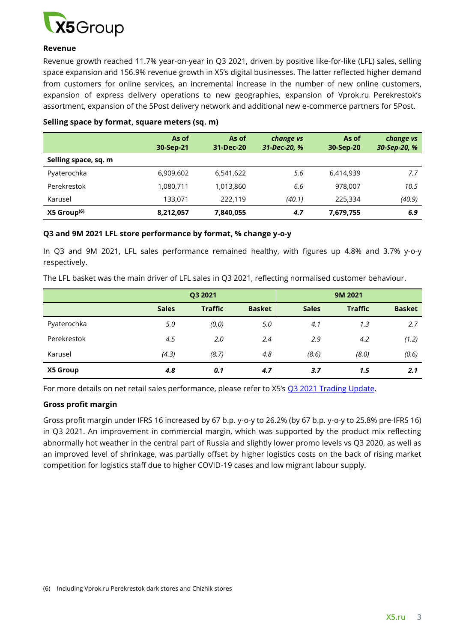

#### **Revenue**

Revenue growth reached 11.7% year-on-year in Q3 2021, driven by positive like-for-like (LFL) sales, selling space expansion and 156.9% revenue growth in X5's digital businesses. The latter reflected higher demand from customers for online services, an incremental increase in the number of new online customers, expansion of express delivery operations to new geographies, expansion of Vprok.ru Perekrestok's assortment, expansion of the 5Post delivery network and additional new e-commerce partners for 5Post.

|                           | As of<br>30-Sep-21 | As of<br>31-Dec-20 | change vs<br>31-Dec-20, % | As of<br>30-Sep-20 | change vs<br>30-Sep-20, % |
|---------------------------|--------------------|--------------------|---------------------------|--------------------|---------------------------|
| Selling space, sq. m      |                    |                    |                           |                    |                           |
| Pyaterochka               | 6,909,602          | 6,541,622          | 5.6                       | 6,414,939          | 7.7                       |
| Perekrestok               | 1,080,711          | 1,013,860          | 6.6                       | 978.007            | 10.5                      |
| Karusel                   | 133,071            | 222.119            | (40.1)                    | 225,334            | (40.9)                    |
| $X5$ Group <sup>(6)</sup> | 8,212,057          | 7,840,055          | 4.7                       | 7,679,755          | 6.9                       |

#### **Selling space by format, square meters (sq. m)**

#### **Q3 and 9M 2021 LFL store performance by format, % change y-o-y**

In Q3 and 9M 2021, LFL sales performance remained healthy, with figures up 4.8% and 3.7% y-o-y respectively.

The LFL basket was the main driver of LFL sales in Q3 2021, reflecting normalised customer behaviour.

|             | Q3 2021      |                |               | 9M 2021      |                |               |
|-------------|--------------|----------------|---------------|--------------|----------------|---------------|
|             | <b>Sales</b> | <b>Traffic</b> | <b>Basket</b> | <b>Sales</b> | <b>Traffic</b> | <b>Basket</b> |
| Pyaterochka | 5.0          | (0.0)          | 5.0           | 4.1          | 1.3            | 2.7           |
| Perekrestok | 4.5          | 2.0            | 2.4           | 2.9          | 4.2            | (1.2)         |
| Karusel     | (4.3)        | (8.7)          | 4.8           | (8.6)        | (8.0)          | (0.6)         |
| X5 Group    | 4.8          | 0.1            | 4.7           | 3.7          | 1.5            | 2.1           |

For more details on net retail sales performance, please refer to X5's [Q3 2021 Trading Update.](https://www.x5.ru/en/PublishingImages/Pages/Media/News/Trading_Update_Q3%202021__ENG.pdf)

### **Gross profit margin**

Gross profit margin under IFRS 16 increased by 67 b.p. y-o-y to 26.2% (by 67 b.p. y-o-y to 25.8% pre-IFRS 16) in Q3 2021. An improvement in commercial margin, which was supported by the product mix reflecting abnormally hot weather in the central part of Russia and slightly lower promo levels vs Q3 2020, as well as an improved level of shrinkage, was partially offset by higher logistics costs on the back of rising market competition for logistics staff due to higher COVID-19 cases and low migrant labour supply.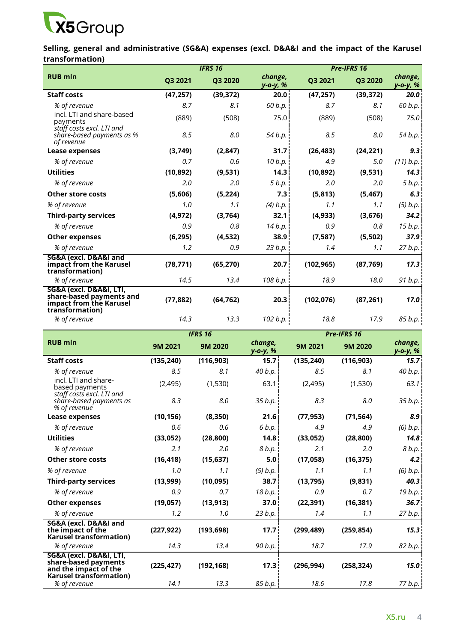

**Selling, general and administrative (SG&A) expenses (excl. D&A&I and the impact of the Karusel transformation)** 

| <b>IFRS 16</b>                                                                                    |           |           |                     | Pre-IFRS 16 |           |                     |  |  |
|---------------------------------------------------------------------------------------------------|-----------|-----------|---------------------|-------------|-----------|---------------------|--|--|
| <b>RUB</b> mln                                                                                    | Q3 2021   | Q3 2020   | change,<br>у-о-у, % | Q3 2021     | Q3 2020   | change,<br>у-о-у, % |  |  |
| <b>Staff costs</b>                                                                                | (47, 257) | (39, 372) | 20.0                | (47, 257)   | (39, 372) | 20.0                |  |  |
| % of revenue                                                                                      | 8.7       | 8.1       | 60 b.p.             | 8.7         | 8.1       | 60 b.p.             |  |  |
| incl. LTI and share-based<br>payments<br>staff costs excl. LTI and                                | (889)     | (508)     | 75.0                | (889)       | (508)     | 75.0                |  |  |
| share-based payments as %<br>of revenue                                                           | 8.5       | 8.0       | 54 b.p.             | 8.5         | 8.0       | 54 b.p.             |  |  |
| Lease expenses                                                                                    | (3,749)   | (2,847)   | 31.7 <sup>1</sup>   | (26, 483)   | (24, 221) | 9.3                 |  |  |
| % of revenue                                                                                      | 0.7       | 0.6       | 10 b.p.             | 4.9         | 5.0       | (11) b.p.           |  |  |
| <b>Utilities</b>                                                                                  | (10, 892) | (9,531)   | 14.3                | (10, 892)   | (9,531)   | 14.3                |  |  |
| % of revenue                                                                                      | 2.0       | 2.0       | 5 b.p.              | 2.0         | 2.0       | 5 b.p.              |  |  |
| <b>Other store costs</b>                                                                          | (5,606)   | (5, 224)  | 7.3                 | (5, 813)    | (5, 467)  | 6.3                 |  |  |
| % of revenue                                                                                      | 1.0       | 1.1       | (4) b.p.            | 1.1         | 1.1       | $(5)$ b.p.          |  |  |
| <b>Third-party services</b>                                                                       | (4, 972)  | (3,764)   | 32.1                | (4, 933)    | (3,676)   | 34.2                |  |  |
| % of revenue                                                                                      | 0.9       | 0.8       | 14 b.p.             | 0.9         | 0.8       | 15 b.p.             |  |  |
| <b>Other expenses</b>                                                                             | (6, 295)  | (4, 532)  | 38.9 <sup>1</sup>   | (7, 587)    | (5,502)   | 37.9                |  |  |
| % of revenue                                                                                      | 1.2       | 0.9       | 23 b.p.             | 1.4         | 1.1       | 27 b.p.             |  |  |
| SG&A (excl. D&A&I and<br>impact from the Karusel<br>transformation)                               | (78, 771) | (65, 270) | 20.7                | (102, 965)  | (87, 769) | 17.3                |  |  |
| % of revenue                                                                                      | 14.5      | 13.4      | 108 b.p.            | 18.9        | 18.0      | 91 b.p.             |  |  |
| SG&A (excl. D&A&I, LTI,<br>share-based payments and<br>impact from the Karusel<br>transformation) | (77, 882) | (64, 762) | 20.3                | (102, 076)  | (87, 261) | 17.0                |  |  |
| % of revenue                                                                                      | 14.3      | 13.3      | 102 b.p.            | 18.8        | 17.9      | 85 b.p.             |  |  |

|                                                                                                            |            | <b>IFRS 16</b> |                     | Pre-IFRS 16 |            |                     |  |
|------------------------------------------------------------------------------------------------------------|------------|----------------|---------------------|-------------|------------|---------------------|--|
| <b>RUB mln</b>                                                                                             | 9M 2021    | 9M 2020        | change,<br>у-о-у, % | 9M 2021     | 9M 2020    | change,<br>у-о-у, % |  |
| <b>Staff costs</b>                                                                                         | (135, 240) | (116, 903)     | 15.7 <sup>1</sup>   | (135, 240)  | (116,903)  | 15.7                |  |
| % of revenue                                                                                               | 8.5        | 8.1            | 40 $b.p.$           | 8.5         | 8.1        | 40 b.p.             |  |
| incl. LTI and share-<br>based payments<br>staff costs excl. LTI and                                        | (2, 495)   | (1,530)        | 63.1                | (2, 495)    | (1,530)    | 63.1                |  |
| share-based payments as<br>% of revenue                                                                    | 8.3        | 8.0            | 35 b.p.             | 8.3         | 8.0        | 35 b.p.             |  |
| Lease expenses                                                                                             | (10, 156)  | (8,350)        | 21.6                | (77, 953)   | (71, 564)  | 8.9                 |  |
| % of revenue                                                                                               | 0.6        | 0.6            | 6 b.p.              | 4.9         | 4.9        | $(6)$ b.p.          |  |
| <b>Utilities</b>                                                                                           | (33, 052)  | (28, 800)      | 14.8 <sup>1</sup>   | (33,052)    | (28, 800)  | 14.8                |  |
| % of revenue                                                                                               | 2.1        | 2.0            | 8 b.p.              | 2.1         | 2.0        | 8 b.p.              |  |
| <b>Other store costs</b>                                                                                   | (16, 418)  | (15, 637)      | 5.0                 | (17,058)    | (16, 375)  | 4.2                 |  |
| % of revenue                                                                                               | 1.0        | 1.1            | $(5)$ b.p.          | 1.1         | 1.1        | $(6)$ $b.p.$        |  |
| <b>Third-party services</b>                                                                                | (13,999)   | (10, 095)      | 38.7 <sup>1</sup>   | (13, 795)   | (9,831)    | 40.3                |  |
| % of revenue                                                                                               | 0.9        | 0.7            | 18 b.p.             | 0.9         | 0.7        | 19 b.p.             |  |
| <b>Other expenses</b>                                                                                      | (19, 057)  | (13, 913)      | 37.0 <sub>1</sub>   | (22, 391)   | (16, 381)  | 36.7 <sup>1</sup>   |  |
| % of revenue                                                                                               | 1.2        | 1.0            | 23 b.p.             | 1.4         | 1.1        | 27 b.p.             |  |
| SG&A (excl. D&A&I and<br>the impact of the<br>Karusel transformation)                                      | (227, 922) | (193, 698)     | 17.7                | (299, 489)  | (259, 854) | 15.3                |  |
| % of revenue                                                                                               | 14.3       | 13.4           | 90 b.p.             | 18.7        | 17.9       | 82 b.p.             |  |
| SG&A (excl. D&A&I, LTI,<br>share-based payments<br>and the impact of the<br><b>Karusel transformation)</b> | (225, 427) | (192, 168)     | 17.3 <sup>1</sup>   | (296, 994)  | (258, 324) | 15.0                |  |
| % of revenue                                                                                               | 14.1       | 13.3           | 85 b.p.             | 18.6        | 17.8       | 77 b.p.             |  |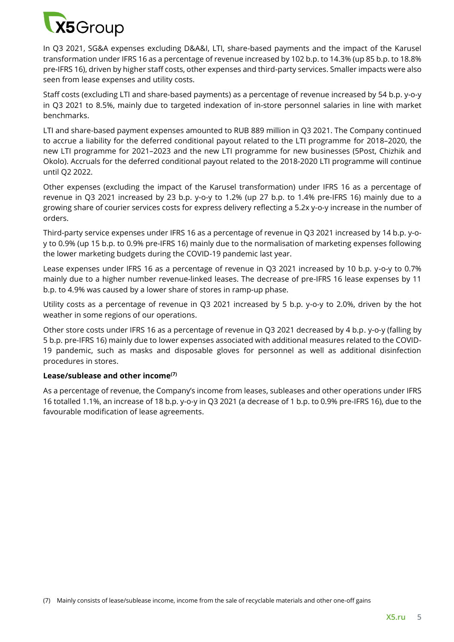

In Q3 2021, SG&A expenses excluding D&A&I, LTI, share-based payments and the impact of the Karusel transformation under IFRS 16 as a percentage of revenue increased by 102 b.p. to 14.3% (up 85 b.p. to 18.8% pre-IFRS 16), driven by higher staff costs, other expenses and third-party services. Smaller impacts were also seen from lease expenses and utility costs.

Staff costs (excluding LTI and share-based payments) as a percentage of revenue increased by 54 b.p. y-o-y in Q3 2021 to 8.5%, mainly due to targeted indexation of in-store personnel salaries in line with market benchmarks.

LTI and share-based payment expenses amounted to RUB 889 million in Q3 2021. The Company continued to accrue a liability for the deferred conditional payout related to the LTI programme for 2018–2020, the new LTI programme for 2021–2023 and the new LTI programme for new businesses (5Post, Chizhik and Okolo). Accruals for the deferred conditional payout related to the 2018-2020 LTI programme will continue until Q2 2022.

Other expenses (excluding the impact of the Karusel transformation) under IFRS 16 as a percentage of revenue in Q3 2021 increased by 23 b.p. y-o-y to 1.2% (up 27 b.p. to 1.4% pre-IFRS 16) mainly due to a growing share of courier services costs for express delivery reflecting a 5.2x y-o-y increase in the number of orders.

Third-party service expenses under IFRS 16 as a percentage of revenue in Q3 2021 increased by 14 b.p. y-oy to 0.9% (up 15 b.p. to 0.9% pre-IFRS 16) mainly due to the normalisation of marketing expenses following the lower marketing budgets during the COVID-19 pandemic last year.

Lease expenses under IFRS 16 as a percentage of revenue in Q3 2021 increased by 10 b.p. y-o-y to 0.7% mainly due to a higher number revenue-linked leases. The decrease of pre-IFRS 16 lease expenses by 11 b.p. to 4.9% was caused by a lower share of stores in ramp-up phase.

Utility costs as a percentage of revenue in Q3 2021 increased by 5 b.p. y-o-y to 2.0%, driven by the hot weather in some regions of our operations.

Other store costs under IFRS 16 as a percentage of revenue in Q3 2021 decreased by 4 b.p. y-o-y (falling by 5 b.p. pre-IFRS 16) mainly due to lower expenses associated with additional measures related to the COVID-19 pandemic, such as masks and disposable gloves for personnel as well as additional disinfection procedures in stores.

### **Lease/sublease and other income(7)**

As a percentage of revenue, the Company's income from leases, subleases and other operations under IFRS 16 totalled 1.1%, an increase of 18 b.p. y-o-y in Q3 2021 (a decrease of 1 b.p. to 0.9% pre-IFRS 16), due to the favourable modification of lease agreements.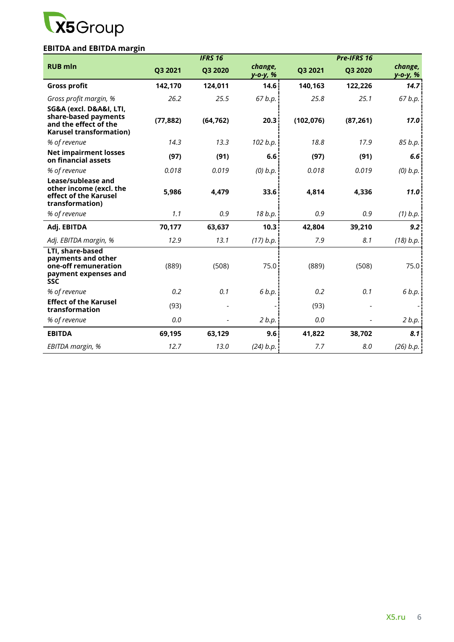

# **EBITDA and EBITDA margin**

|                                                                                                            |           | <b>IFRS 16</b> |                     |            | Pre-IFRS 16 |                            |
|------------------------------------------------------------------------------------------------------------|-----------|----------------|---------------------|------------|-------------|----------------------------|
| <b>RUB mln</b>                                                                                             | Q3 2021   | Q3 2020        | change,<br>у-о-у, % | Q3 2021    | Q3 2020     | change,<br><u>y-o-y, %</u> |
| <b>Gross profit</b>                                                                                        | 142,170   | 124,011        | 14.6                | 140,163    | 122,226     | 14.7                       |
| Gross profit margin, %                                                                                     | 26.2      | 25.5           | 67 b.p.             | 25.8       | 25.1        | 67 b.p.                    |
| SG&A (excl. D&A&I, LTI,<br>share-based payments<br>and the effect of the<br><b>Karusel transformation)</b> | (77, 882) | (64, 762)      | 20.3                | (102, 076) | (87, 261)   | 17.0                       |
| % of revenue                                                                                               | 14.3      | 13.3           | 102 b.p.            | 18.8       | 17.9        | 85 b.p.                    |
| <b>Net impairment losses</b><br>on financial assets                                                        | (97)      | (91)           | 6.6                 | (97)       | (91)        | 6.6                        |
| % of revenue                                                                                               | 0.018     | 0.019          | $(0)$ $b.p.$        | 0.018      | 0.019       | $(0)$ $b.p.$               |
| Lease/sublease and<br>other income (excl. the<br>effect of the Karusel<br>transformation)                  | 5,986     | 4,479          | 33.6                | 4,814      | 4,336       | 11.0                       |
| % of revenue                                                                                               | 1.1       | 0.9            | 18 b.p.             | 0.9        | 0.9         | $(1)$ b.p.                 |
| Adj. EBITDA                                                                                                | 70,177    | 63,637         | 10.3                | 42,804     | 39,210      | 9.2                        |
| Adj. EBITDA margin, %                                                                                      | 12.9      | 13.1           | (17) b.p.           | 7.9        | 8.1         | (18) b.p.                  |
| LTI, share-based<br>payments and other<br>one-off remuneration<br>payment expenses and<br><b>SSC</b>       | (889)     | (508)          | 75.0                | (889)      | (508)       | 75.0                       |
| % of revenue                                                                                               | 0.2       | 0.1            | 6 b.p.              | 0.2        | 0.1         | 6 b.p.                     |
| <b>Effect of the Karusel</b><br>transformation                                                             | (93)      |                |                     | (93)       |             |                            |
| % of revenue                                                                                               | 0.0       |                | 2 b.p.              | 0.0        |             | 2 b.p.                     |
| <b>EBITDA</b>                                                                                              | 69,195    | 63,129         | 9.6                 | 41,822     | 38,702      | 8.1                        |
| EBITDA margin, %                                                                                           | 12.7      | 13.0           | (24) b.p.           | 7.7        | 8.0         | (26) b.p.                  |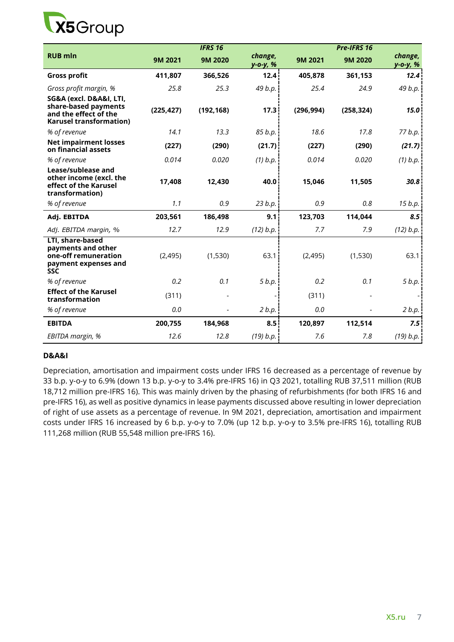

|                                                                                                            |            | <b>IFRS 16</b> |                     |            | Pre-IFRS 16 |                     |
|------------------------------------------------------------------------------------------------------------|------------|----------------|---------------------|------------|-------------|---------------------|
| <b>RUB mln</b>                                                                                             | 9M 2021    | 9M 2020        | change,<br>y-o-y, % | 9M 2021    | 9M 2020     | change,<br>у-о-у, % |
| <b>Gross profit</b>                                                                                        | 411,807    | 366,526        | 12.4                | 405,878    | 361,153     | 12.4                |
| Gross profit margin, %                                                                                     | 25.8       | 25.3           | 49 b.p.             | 25.4       | 24.9        | 49 b.p.             |
| SG&A (excl. D&A&I, LTI,<br>share-based payments<br>and the effect of the<br><b>Karusel transformation)</b> | (225, 427) | (192, 168)     | 17.3                | (296, 994) | (258, 324)  | 15.0                |
| % of revenue                                                                                               | 14.1       | 13.3           | 85 b.p.             | 18.6       | 17.8        | 77 b.p.             |
| <b>Net impairment losses</b><br>on financial assets                                                        | (227)      | (290)          | (21.7)              | (227)      | (290)       | (21.7)              |
| % of revenue                                                                                               | 0.014      | 0.020          | $(1)$ b.p.          | 0.014      | 0.020       | $(1)$ b.p.          |
| Lease/sublease and<br>other income (excl. the<br>effect of the Karusel<br>transformation)                  | 17,408     | 12,430         | 40.0                | 15,046     | 11,505      | 30.8                |
| % of revenue                                                                                               | 1.1        | 0.9            | 23 b.p.             | 0.9        | 0.8         | 15 b.p.             |
| Adj. EBITDA                                                                                                | 203,561    | 186,498        | 9.1                 | 123,703    | 114,044     | 8.5                 |
| Adj. EBITDA margin, %                                                                                      | 12.7       | 12.9           | (12) b.p.           | 7.7        | 7.9         | (12) b.p.           |
| LTI, share-based<br>payments and other<br>one-off remuneration<br>payment expenses and<br><b>SSC</b>       | (2, 495)   | (1,530)        | 63.1                | (2,495)    | (1,530)     | 63.1                |
| % of revenue                                                                                               | 0.2        | 0.1            | 5 b.p.              | 0.2        | 0.1         | 5 b.p.              |
| <b>Effect of the Karusel</b><br>transformation                                                             | (311)      |                |                     | (311)      |             |                     |
| % of revenue                                                                                               | 0.0        |                | 2 b.p.              | 0.0        |             | 2 b.p.              |
| <b>EBITDA</b>                                                                                              | 200,755    | 184,968        | 8.5                 | 120,897    | 112,514     | 7.5                 |
| EBITDA margin, %                                                                                           | 12.6       | 12.8           | (19) b.p.           | 7.6        | 7.8         | (19) b.p.           |

### **D&A&I**

Depreciation, amortisation and impairment costs under IFRS 16 decreased as a percentage of revenue by 33 b.p. y-o-y to 6.9% (down 13 b.p. y-o-y to 3.4% pre-IFRS 16) in Q3 2021, totalling RUB 37,511 million (RUB 18,712 million pre-IFRS 16). This was mainly driven by the phasing of refurbishments (for both IFRS 16 and pre-IFRS 16), as well as positive dynamics in lease payments discussed above resulting in lower depreciation of right of use assets as a percentage of revenue. In 9M 2021, depreciation, amortisation and impairment costs under IFRS 16 increased by 6 b.p. y-o-y to 7.0% (up 12 b.p. y-o-y to 3.5% pre-IFRS 16), totalling RUB 111,268 million (RUB 55,548 million pre-IFRS 16).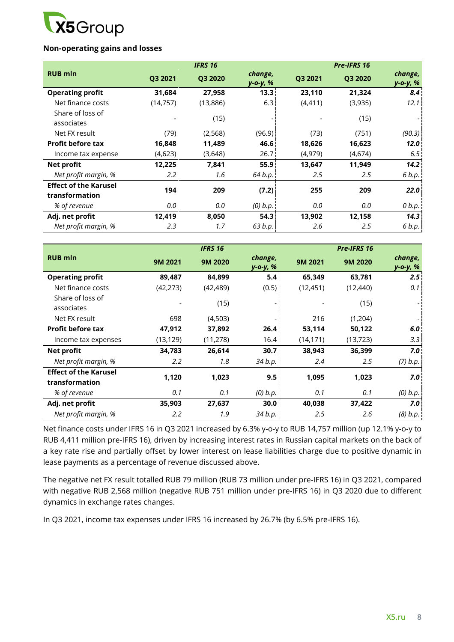

### **Non-operating gains and losses**

|                                                |           | <b>IFRS 16</b> |                     |          | Pre-IFRS 16 |                     |
|------------------------------------------------|-----------|----------------|---------------------|----------|-------------|---------------------|
| <b>RUB</b> mln                                 | Q3 2021   | Q3 2020        | change,<br>y-o-y, % | Q3 2021  | Q3 2020     | change,<br>y-o-y, % |
| <b>Operating profit</b>                        | 31,684    | 27,958         | 13.3 <sup>1</sup>   | 23,110   | 21,324      | 8.4                 |
| Net finance costs                              | (14, 757) | (13,886)       | 6.31                | (4, 411) | (3,935)     | 12.1                |
| Share of loss of<br>associates                 |           | (15)           |                     |          | (15)        |                     |
| Net FX result                                  | (79)      | (2,568)        | (96.9)              | (73)     | (751)       | (90.3)              |
| <b>Profit before tax</b>                       | 16,848    | 11,489         | 46.6 <sup>1</sup>   | 18,626   | 16,623      | 12.0                |
| Income tax expense                             | (4,623)   | (3,648)        | 26.7 <sup>1</sup>   | (4,979)  | (4,674)     | 6.5                 |
| Net profit                                     | 12,225    | 7,841          | 55.9 <sup>1</sup>   | 13,647   | 11,949      | 14.2                |
| Net profit margin, %                           | $2.2\,$   | 1.6            | 64 b.p.             | 2.5      | 2.5         | 6 b.p.              |
| <b>Effect of the Karusel</b><br>transformation | 194       | 209            | (7.2)               | 255      | 209         | 22.0                |
| % of revenue                                   | 0.0       | 0.0            | $(0)$ $b.p.$        | 0.0      | 0.0         | 0 b.p.              |
| Adj. net profit                                | 12,419    | 8,050          | 54.3                | 13,902   | 12,158      | 14.3                |
| Net profit margin, %                           | 2.3       | 1.7            | 63 b.p.             | 2.6      | 2.5         | 6 b.p.              |

|                                                |           | <b>IFRS 16</b> |                     |           | Pre-IFRS 16 |                     |
|------------------------------------------------|-----------|----------------|---------------------|-----------|-------------|---------------------|
| <b>RUB mln</b>                                 | 9M 2021   | 9M 2020        | change,<br>у-о-у, % | 9M 2021   | 9M 2020     | change,<br>y-o-y, % |
| <b>Operating profit</b>                        | 89,487    | 84,899         | 5.4                 | 65,349    | 63,781      | 2.5                 |
| Net finance costs                              | (42, 273) | (42, 489)      | (0.5)               | (12, 451) | (12, 440)   | 0.1                 |
| Share of loss of<br>associates                 |           | (15)           |                     |           | (15)        |                     |
| Net FX result                                  | 698       | (4,503)        |                     | 216       | (1,204)     |                     |
| <b>Profit before tax</b>                       | 47,912    | 37,892         | 26.4                | 53,114    | 50,122      | 6.0                 |
| Income tax expenses                            | (13, 129) | (11, 278)      | 16.4 <sub>1</sub>   | (14, 171) | (13, 723)   | 3.3                 |
| Net profit                                     | 34,783    | 26,614         | 30.7 <sub>1</sub>   | 38,943    | 36,399      | 7.0                 |
| Net profit margin, %                           | 2.2       | 1.8            | 34 b.p.             | 2.4       | 2.5         | (7) b.p.            |
| <b>Effect of the Karusel</b><br>transformation | 1,120     | 1,023          | 9.5                 | 1,095     | 1,023       | 7.0                 |
| % of revenue                                   | 0.1       | 0.1            | $(0)$ $b.p.$        | 0.1       | 0.1         | $(0)$ $b.p.$        |
| Adj. net profit                                | 35,903    | 27,637         | 30.0 <sub>1</sub>   | 40,038    | 37,422      | 7.0                 |
| Net profit margin, %                           | 2.2       | 1.9            | 34 b.p.             | 2.5       | 2.6         | (8) b.p.            |

Net finance costs under IFRS 16 in Q3 2021 increased by 6.3% y-o-y to RUB 14,757 million (up 12.1% y-o-y to RUB 4,411 million pre-IFRS 16), driven by increasing interest rates in Russian capital markets on the back of a key rate rise and partially offset by lower interest on lease liabilities charge due to positive dynamic in lease payments as a percentage of revenue discussed above.

The negative net FX result totalled RUB 79 million (RUB 73 million under pre-IFRS 16) in Q3 2021, compared with negative RUB 2,568 million (negative RUB 751 million under pre-IFRS 16) in Q3 2020 due to different dynamics in exchange rates changes.

In Q3 2021, income tax expenses under IFRS 16 increased by 26.7% (by 6.5% pre-IFRS 16).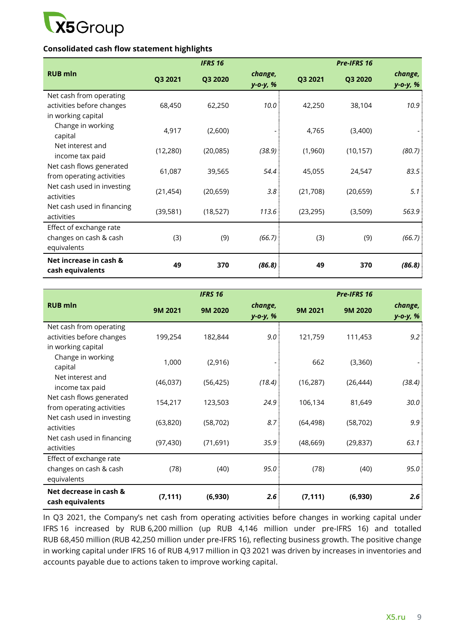

### **Consolidated cash flow statement highlights**

|                                                                            |           | <b>IFRS 16</b> |                     |           | <b>Pre-IFRS 16</b> |                     |
|----------------------------------------------------------------------------|-----------|----------------|---------------------|-----------|--------------------|---------------------|
| <b>RUB mln</b>                                                             | Q3 2021   | Q3 2020        | change,<br>y-o-y, % | Q3 2021   | Q3 2020            | change,<br>y-o-y, % |
| Net cash from operating<br>activities before changes<br>in working capital | 68,450    | 62,250         | 10.0                | 42,250    | 38,104             | 10.9                |
| Change in working<br>capital                                               | 4,917     | (2,600)        |                     | 4,765     | (3,400)            |                     |
| Net interest and<br>income tax paid                                        | (12, 280) | (20, 085)      | (38.9)              | (1,960)   | (10, 157)          | (80.7)              |
| Net cash flows generated<br>from operating activities                      | 61,087    | 39,565         | 54.4                | 45,055    | 24,547             | 83.5                |
| Net cash used in investing<br>activities                                   | (21, 454) | (20, 659)      | 3.8                 | (21,708)  | (20, 659)          | 5.1                 |
| Net cash used in financing<br>activities                                   | (39, 581) | (18, 527)      | 113.6               | (23, 295) | (3,509)            | 563.9               |
| Effect of exchange rate<br>changes on cash & cash<br>equivalents           | (3)       | (9)            | (66.7)              | (3)       | (9)                | (66.7)              |
| Net increase in cash &<br>cash equivalents                                 | 49        | 370            | (86.8)              | 49        | 370                | (86.8)              |

|                                                                            |           | <b>IFRS 16</b> |                     |           | Pre-IFRS 16 |                     |
|----------------------------------------------------------------------------|-----------|----------------|---------------------|-----------|-------------|---------------------|
| <b>RUB mln</b>                                                             | 9M 2021   | 9M 2020        | change,<br>y-o-y, % | 9M 2021   | 9M 2020     | change,<br>y-o-y, % |
| Net cash from operating<br>activities before changes<br>in working capital | 199,254   | 182,844        | 9.0                 | 121,759   | 111,453     | 9.2                 |
| Change in working<br>capital                                               | 1,000     | (2,916)        |                     | 662       | (3,360)     |                     |
| Net interest and<br>income tax paid                                        | (46,037)  | (56, 425)      | (18.4)              | (16, 287) | (26, 444)   | (38.4)              |
| Net cash flows generated<br>from operating activities                      | 154,217   | 123,503        | 24.9                | 106,134   | 81,649      | 30.0                |
| Net cash used in investing<br>activities                                   | (63, 820) | (58, 702)      | 8.7                 | (64, 498) | (58, 702)   | 9.9                 |
| Net cash used in financing<br>activities                                   | (97, 430) | (71, 691)      | 35.9                | (48, 669) | (29, 837)   | 63.1                |
| Effect of exchange rate<br>changes on cash & cash<br>equivalents           | (78)      | (40)           | 95.0                | (78)      | (40)        | 95.0                |
| Net decrease in cash &<br>cash equivalents                                 | (7, 111)  | (6,930)        | 2.6                 | (7, 111)  | (6,930)     | 2.6                 |

In Q3 2021, the Company's net cash from operating activities before changes in working capital under IFRS 16 increased by RUB 6,200 million (up RUB 4,146 million under pre-IFRS 16) and totalled RUB 68,450 million (RUB 42,250 million under pre-IFRS 16), reflecting business growth. The positive change in working capital under IFRS 16 of RUB 4,917 million in Q3 2021 was driven by increases in inventories and accounts payable due to actions taken to improve working capital.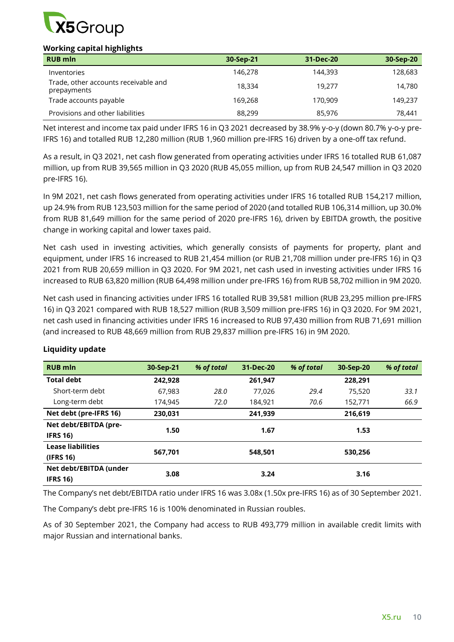

## **Working capital highlights**

| <b>RUB mln</b>                                      | 30-Sep-21 | 31-Dec-20 | 30-Sep-20 |
|-----------------------------------------------------|-----------|-----------|-----------|
| Inventories                                         | 146,278   | 144,393   | 128,683   |
| Trade, other accounts receivable and<br>prepayments | 18,334    | 19.277    | 14,780    |
| Trade accounts payable                              | 169,268   | 170,909   | 149,237   |
| Provisions and other liabilities                    | 88,299    | 85,976    | 78,441    |

Net interest and income tax paid under IFRS 16 in Q3 2021 decreased by 38.9% y-o-y (down 80.7% y-o-y pre-IFRS 16) and totalled RUB 12,280 million (RUB 1,960 million pre-IFRS 16) driven by a one-off tax refund.

As a result, in Q3 2021, net cash flow generated from operating activities under IFRS 16 totalled RUB 61,087 million, up from RUB 39,565 million in Q3 2020 (RUB 45,055 million, up from RUB 24,547 million in Q3 2020 pre-IFRS 16).

In 9M 2021, net cash flows generated from operating activities under IFRS 16 totalled RUB 154,217 million, up 24.9% from RUB 123,503 million for the same period of 2020 (and totalled RUB 106,314 million, up 30.0% from RUB 81,649 million for the same period of 2020 pre-IFRS 16), driven by EBITDA growth, the positive change in working capital and lower taxes paid.

Net cash used in investing activities, which generally consists of payments for property, plant and equipment, under IFRS 16 increased to RUB 21,454 million (or RUB 21,708 million under pre-IFRS 16) in Q3 2021 from RUB 20,659 million in Q3 2020. For 9M 2021, net cash used in investing activities under IFRS 16 increased to RUB 63,820 million (RUB 64,498 million under pre-IFRS 16) from RUB 58,702 million in 9M 2020.

Net cash used in financing activities under IFRS 16 totalled RUB 39,581 million (RUB 23,295 million pre-IFRS 16) in Q3 2021 compared with RUB 18,527 million (RUB 3,509 million pre-IFRS 16) in Q3 2020. For 9M 2021, net cash used in financing activities under IFRS 16 increased to RUB 97,430 million from RUB 71,691 million (and increased to RUB 48,669 million from RUB 29,837 million pre-IFRS 16) in 9M 2020.

| <b>RUB mln</b>           | 30-Sep-21 | % of total | 31-Dec-20 | % of total | 30-Sep-20 | % of total |
|--------------------------|-----------|------------|-----------|------------|-----------|------------|
| <b>Total debt</b>        | 242,928   |            | 261,947   |            | 228,291   |            |
| Short-term debt          | 67.983    | 28.0       | 77.026    | 29.4       | 75,520    | 33.1       |
| Long-term debt           | 174.945   | 72.0       | 184,921   | 70.6       | 152,771   | 66.9       |
| Net debt (pre-IFRS 16)   | 230,031   |            | 241,939   |            | 216,619   |            |
| Net debt/EBITDA (pre-    | 1.50      |            | 1.67      |            | 1.53      |            |
| <b>IFRS 16)</b>          |           |            |           |            |           |            |
| <b>Lease liabilities</b> | 567,701   |            | 548.501   |            | 530,256   |            |
| (IFRS 16)                |           |            |           |            |           |            |
| Net debt/EBITDA (under   | 3.08      |            | 3.24      |            | 3.16      |            |
| <b>IFRS 16)</b>          |           |            |           |            |           |            |

# **Liquidity update**

The Company's net debt/EBITDA ratio under IFRS 16 was 3.08x (1.50x pre-IFRS 16) as of 30 September 2021.

The Company's debt pre-IFRS 16 is 100% denominated in Russian roubles.

As of 30 September 2021, the Company had access to RUB 493,779 million in available credit limits with major Russian and international banks.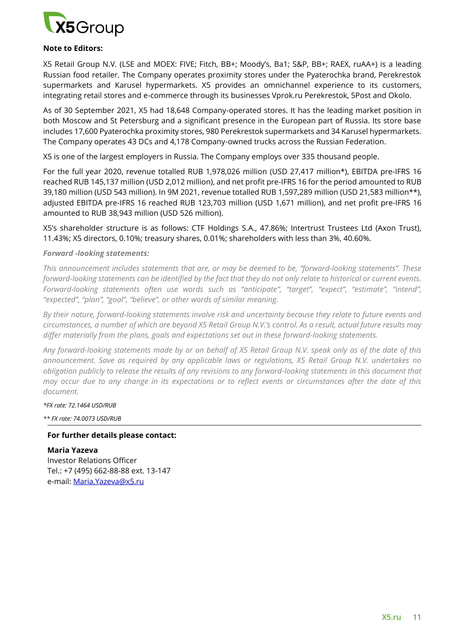

#### **Note to Editors:**

X5 Retail Group N.V. (LSE and MOEX: FIVE; Fitch, BB+; Moody's, Ba1; S&P, BB+; RAEX, ruAA+) is a leading Russian food retailer. The Company operates proximity stores under the Pyaterochka brand, Perekrestok supermarkets and Karusel hypermarkets. X5 provides an omnichannel experience to its customers, integrating retail stores and e-commerce through its businesses Vprok.ru Perekrestok, 5Post and Okolo.

As of 30 September 2021, X5 had 18,648 Company-operated stores. It has the leading market position in both Moscow and St Petersburg and a significant presence in the European part of Russia. Its store base includes 17,600 Pyaterochka proximity stores, 980 Perekrestok supermarkets and 34 Karusel hypermarkets. The Company operates 43 DCs and 4,178 Company-owned trucks across the Russian Federation.

X5 is one of the largest employers in Russia. The Company employs over 335 thousand people.

For the full year 2020, revenue totalled RUB 1,978,026 million (USD 27,417 million\*), EBITDA pre-IFRS 16 reached RUB 145,137 million (USD 2,012 million), and net profit pre-IFRS 16 for the period amounted to RUB 39,180 million (USD 543 million). In 9M 2021, revenue totalled RUB 1,597,289 million (USD 21,583 million\*\*), adjusted EBITDA pre-IFRS 16 reached RUB 123,703 million (USD 1,671 million), and net profit pre-IFRS 16 amounted to RUB 38,943 million (USD 526 million).

X5's shareholder structure is as follows: CTF Holdings S.A., 47.86%; Intertrust Trustees Ltd (Axon Trust), 11.43%; X5 directors, 0.10%; treasury shares, 0.01%; shareholders with less than 3%, 40.60%.

#### *Forward -looking statements:*

*This announcement includes statements that are, or may be deemed to be, "forward-looking statements". These forward-looking statements can be identified by the fact that they do not only relate to historical or current events. Forward-looking statements often use words such as "anticipate", "target", "expect", "estimate", "intend", "expected", "plan", "goal", "believe", or other words of similar meaning.*

*By their nature, forward-looking statements involve risk and uncertainty because they relate to future events and circumstances, a number of which are beyond X5 Retail Group N.V.'s control. As a result, actual future results may differ materially from the plans, goals and expectations set out in these forward-looking statements.* 

*Any forward-looking statements made by or on behalf of X5 Retail Group N.V. speak only as of the date of this announcement. Save as required by any applicable laws or regulations, X5 Retail Group N.V. undertakes no obligation publicly to release the results of any revisions to any forward-looking statements in this document that may occur due to any change in its expectations or to reflect events or circumstances after the date of this document.* 

*\*FX rate: 72.1464 USD/RUB* 

*\*\* FX rate: 74.0073 USD/RUB* 

#### **For further details please contact:**

**Maria Yazeva**  Investor Relations Officer Tel.: +7 (495) 662-88-88 ext. 13-147 e-mail: [Maria.Yazeva@x5.ru](mailto:Maria.Yazeva@x5.ru)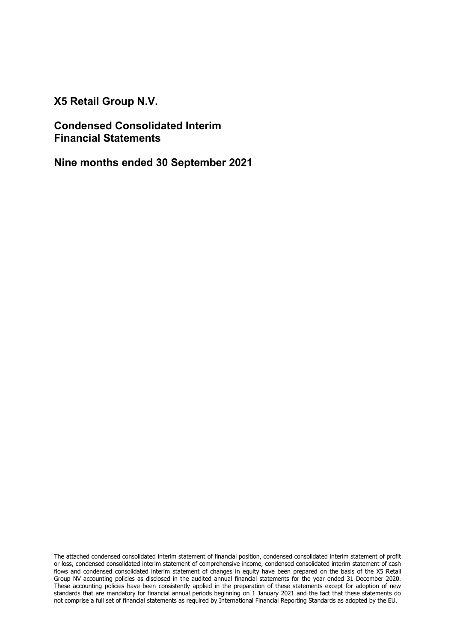X5 Retail Group N.V.

Condensed Consolidated Interim Financial Statements

Nine months ended 30 September 2021

The attached condensed consolidated interim statement of financial position, condensed consolidated interim statement of profit or loss, condensed consolidated interim statement of comprehensive income, condensed consolidated interim statement of cash flows and condensed consolidated interim statement of changes in equity have been prepared on the basis of the X5 Retail Group NV accounting policies as disclosed in the audited annual financial statements for the year ended 31 December 2020. These accounting policies have been consistently applied in the preparation of these statements except for adoption of new standards that are mandatory for financial annual periods beginning on 1 January 2021 and the fact that these statements do not comprise a full set of financial statements as required by International Financial Reporting Standards as adopted by the EU.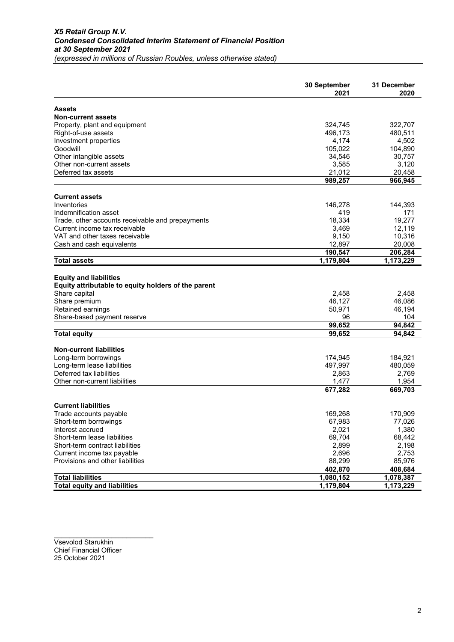| Assets<br><b>Non-current assets</b><br>Property, plant and equipment<br>324,745<br>322,707<br>496,173<br>480,511<br>Right-of-use assets<br>Investment properties<br>4,174<br>4,502<br>105,022<br>Goodwill<br>104,890<br>34,546<br>Other intangible assets<br>30,757<br>Other non-current assets<br>3,585<br>3,120<br>20,458<br>Deferred tax assets<br>21,012<br>989,257<br>966,945<br><b>Current assets</b><br>Inventories<br>146,278<br>144,393<br>Indemnification asset<br>419<br>171<br>19,277<br>Trade, other accounts receivable and prepayments<br>18,334<br>3,469<br>12,119<br>VAT and other taxes receivable<br>9,150<br>10,316<br>12,897<br>20,008<br>Cash and cash equivalents<br>190,547<br>206,284<br><b>Total assets</b><br>1,179,804<br>1,173,229<br><b>Equity and liabilities</b><br>Equity attributable to equity holders of the parent<br>Share capital<br>2,458<br>2,458<br>Share premium<br>46,127<br>46,086<br>Retained earnings<br>50,971<br>46,194<br>Share-based payment reserve<br>96<br>104<br>99,652<br>94,842<br>99,652<br>94,842<br><b>Total equity</b><br><b>Non-current liabilities</b><br>Long-term borrowings<br>174,945<br>184,921<br>Long-term lease liabilities<br>497,997<br>480,059<br>Deferred tax liabilities<br>2,863<br>2,769<br>1,477<br>1,954<br>Other non-current liabilities<br>677,282<br>669,703<br><b>Current liabilities</b><br>Trade accounts payable<br>169,268<br>170,909<br>67,983<br>77,026<br>Short-term borrowings<br>2,021<br>1,380<br>Interest accrued<br>69,704<br>68,442<br>Short-term lease liabilities<br>2,899<br>Short-term contract liabilities<br>2,198<br>2,696<br>Current income tax payable<br>2,753<br>Provisions and other liabilities<br>88,299<br>85,976<br>402,870<br>408,684<br><b>Total liabilities</b><br>1,078,387<br>1,080,152<br>1,179,804 |                                     | 30 September<br>2021 | 31 December<br>2020 |
|----------------------------------------------------------------------------------------------------------------------------------------------------------------------------------------------------------------------------------------------------------------------------------------------------------------------------------------------------------------------------------------------------------------------------------------------------------------------------------------------------------------------------------------------------------------------------------------------------------------------------------------------------------------------------------------------------------------------------------------------------------------------------------------------------------------------------------------------------------------------------------------------------------------------------------------------------------------------------------------------------------------------------------------------------------------------------------------------------------------------------------------------------------------------------------------------------------------------------------------------------------------------------------------------------------------------------------------------------------------------------------------------------------------------------------------------------------------------------------------------------------------------------------------------------------------------------------------------------------------------------------------------------------------------------------------------------------------------------------------------------------------------------------------------------------------------------|-------------------------------------|----------------------|---------------------|
|                                                                                                                                                                                                                                                                                                                                                                                                                                                                                                                                                                                                                                                                                                                                                                                                                                                                                                                                                                                                                                                                                                                                                                                                                                                                                                                                                                                                                                                                                                                                                                                                                                                                                                                                                                                                                            |                                     |                      |                     |
|                                                                                                                                                                                                                                                                                                                                                                                                                                                                                                                                                                                                                                                                                                                                                                                                                                                                                                                                                                                                                                                                                                                                                                                                                                                                                                                                                                                                                                                                                                                                                                                                                                                                                                                                                                                                                            |                                     |                      |                     |
|                                                                                                                                                                                                                                                                                                                                                                                                                                                                                                                                                                                                                                                                                                                                                                                                                                                                                                                                                                                                                                                                                                                                                                                                                                                                                                                                                                                                                                                                                                                                                                                                                                                                                                                                                                                                                            |                                     |                      |                     |
|                                                                                                                                                                                                                                                                                                                                                                                                                                                                                                                                                                                                                                                                                                                                                                                                                                                                                                                                                                                                                                                                                                                                                                                                                                                                                                                                                                                                                                                                                                                                                                                                                                                                                                                                                                                                                            |                                     |                      |                     |
|                                                                                                                                                                                                                                                                                                                                                                                                                                                                                                                                                                                                                                                                                                                                                                                                                                                                                                                                                                                                                                                                                                                                                                                                                                                                                                                                                                                                                                                                                                                                                                                                                                                                                                                                                                                                                            |                                     |                      |                     |
|                                                                                                                                                                                                                                                                                                                                                                                                                                                                                                                                                                                                                                                                                                                                                                                                                                                                                                                                                                                                                                                                                                                                                                                                                                                                                                                                                                                                                                                                                                                                                                                                                                                                                                                                                                                                                            |                                     |                      |                     |
|                                                                                                                                                                                                                                                                                                                                                                                                                                                                                                                                                                                                                                                                                                                                                                                                                                                                                                                                                                                                                                                                                                                                                                                                                                                                                                                                                                                                                                                                                                                                                                                                                                                                                                                                                                                                                            |                                     |                      |                     |
|                                                                                                                                                                                                                                                                                                                                                                                                                                                                                                                                                                                                                                                                                                                                                                                                                                                                                                                                                                                                                                                                                                                                                                                                                                                                                                                                                                                                                                                                                                                                                                                                                                                                                                                                                                                                                            |                                     |                      |                     |
|                                                                                                                                                                                                                                                                                                                                                                                                                                                                                                                                                                                                                                                                                                                                                                                                                                                                                                                                                                                                                                                                                                                                                                                                                                                                                                                                                                                                                                                                                                                                                                                                                                                                                                                                                                                                                            |                                     |                      |                     |
|                                                                                                                                                                                                                                                                                                                                                                                                                                                                                                                                                                                                                                                                                                                                                                                                                                                                                                                                                                                                                                                                                                                                                                                                                                                                                                                                                                                                                                                                                                                                                                                                                                                                                                                                                                                                                            |                                     |                      |                     |
|                                                                                                                                                                                                                                                                                                                                                                                                                                                                                                                                                                                                                                                                                                                                                                                                                                                                                                                                                                                                                                                                                                                                                                                                                                                                                                                                                                                                                                                                                                                                                                                                                                                                                                                                                                                                                            |                                     |                      |                     |
|                                                                                                                                                                                                                                                                                                                                                                                                                                                                                                                                                                                                                                                                                                                                                                                                                                                                                                                                                                                                                                                                                                                                                                                                                                                                                                                                                                                                                                                                                                                                                                                                                                                                                                                                                                                                                            |                                     |                      |                     |
|                                                                                                                                                                                                                                                                                                                                                                                                                                                                                                                                                                                                                                                                                                                                                                                                                                                                                                                                                                                                                                                                                                                                                                                                                                                                                                                                                                                                                                                                                                                                                                                                                                                                                                                                                                                                                            |                                     |                      |                     |
|                                                                                                                                                                                                                                                                                                                                                                                                                                                                                                                                                                                                                                                                                                                                                                                                                                                                                                                                                                                                                                                                                                                                                                                                                                                                                                                                                                                                                                                                                                                                                                                                                                                                                                                                                                                                                            |                                     |                      |                     |
|                                                                                                                                                                                                                                                                                                                                                                                                                                                                                                                                                                                                                                                                                                                                                                                                                                                                                                                                                                                                                                                                                                                                                                                                                                                                                                                                                                                                                                                                                                                                                                                                                                                                                                                                                                                                                            |                                     |                      |                     |
|                                                                                                                                                                                                                                                                                                                                                                                                                                                                                                                                                                                                                                                                                                                                                                                                                                                                                                                                                                                                                                                                                                                                                                                                                                                                                                                                                                                                                                                                                                                                                                                                                                                                                                                                                                                                                            | Current income tax receivable       |                      |                     |
|                                                                                                                                                                                                                                                                                                                                                                                                                                                                                                                                                                                                                                                                                                                                                                                                                                                                                                                                                                                                                                                                                                                                                                                                                                                                                                                                                                                                                                                                                                                                                                                                                                                                                                                                                                                                                            |                                     |                      |                     |
|                                                                                                                                                                                                                                                                                                                                                                                                                                                                                                                                                                                                                                                                                                                                                                                                                                                                                                                                                                                                                                                                                                                                                                                                                                                                                                                                                                                                                                                                                                                                                                                                                                                                                                                                                                                                                            |                                     |                      |                     |
|                                                                                                                                                                                                                                                                                                                                                                                                                                                                                                                                                                                                                                                                                                                                                                                                                                                                                                                                                                                                                                                                                                                                                                                                                                                                                                                                                                                                                                                                                                                                                                                                                                                                                                                                                                                                                            |                                     |                      |                     |
|                                                                                                                                                                                                                                                                                                                                                                                                                                                                                                                                                                                                                                                                                                                                                                                                                                                                                                                                                                                                                                                                                                                                                                                                                                                                                                                                                                                                                                                                                                                                                                                                                                                                                                                                                                                                                            |                                     |                      |                     |
|                                                                                                                                                                                                                                                                                                                                                                                                                                                                                                                                                                                                                                                                                                                                                                                                                                                                                                                                                                                                                                                                                                                                                                                                                                                                                                                                                                                                                                                                                                                                                                                                                                                                                                                                                                                                                            |                                     |                      |                     |
|                                                                                                                                                                                                                                                                                                                                                                                                                                                                                                                                                                                                                                                                                                                                                                                                                                                                                                                                                                                                                                                                                                                                                                                                                                                                                                                                                                                                                                                                                                                                                                                                                                                                                                                                                                                                                            |                                     |                      |                     |
|                                                                                                                                                                                                                                                                                                                                                                                                                                                                                                                                                                                                                                                                                                                                                                                                                                                                                                                                                                                                                                                                                                                                                                                                                                                                                                                                                                                                                                                                                                                                                                                                                                                                                                                                                                                                                            |                                     |                      |                     |
|                                                                                                                                                                                                                                                                                                                                                                                                                                                                                                                                                                                                                                                                                                                                                                                                                                                                                                                                                                                                                                                                                                                                                                                                                                                                                                                                                                                                                                                                                                                                                                                                                                                                                                                                                                                                                            |                                     |                      |                     |
|                                                                                                                                                                                                                                                                                                                                                                                                                                                                                                                                                                                                                                                                                                                                                                                                                                                                                                                                                                                                                                                                                                                                                                                                                                                                                                                                                                                                                                                                                                                                                                                                                                                                                                                                                                                                                            |                                     |                      |                     |
|                                                                                                                                                                                                                                                                                                                                                                                                                                                                                                                                                                                                                                                                                                                                                                                                                                                                                                                                                                                                                                                                                                                                                                                                                                                                                                                                                                                                                                                                                                                                                                                                                                                                                                                                                                                                                            |                                     |                      |                     |
|                                                                                                                                                                                                                                                                                                                                                                                                                                                                                                                                                                                                                                                                                                                                                                                                                                                                                                                                                                                                                                                                                                                                                                                                                                                                                                                                                                                                                                                                                                                                                                                                                                                                                                                                                                                                                            |                                     |                      |                     |
|                                                                                                                                                                                                                                                                                                                                                                                                                                                                                                                                                                                                                                                                                                                                                                                                                                                                                                                                                                                                                                                                                                                                                                                                                                                                                                                                                                                                                                                                                                                                                                                                                                                                                                                                                                                                                            |                                     |                      |                     |
|                                                                                                                                                                                                                                                                                                                                                                                                                                                                                                                                                                                                                                                                                                                                                                                                                                                                                                                                                                                                                                                                                                                                                                                                                                                                                                                                                                                                                                                                                                                                                                                                                                                                                                                                                                                                                            |                                     |                      |                     |
|                                                                                                                                                                                                                                                                                                                                                                                                                                                                                                                                                                                                                                                                                                                                                                                                                                                                                                                                                                                                                                                                                                                                                                                                                                                                                                                                                                                                                                                                                                                                                                                                                                                                                                                                                                                                                            |                                     |                      |                     |
|                                                                                                                                                                                                                                                                                                                                                                                                                                                                                                                                                                                                                                                                                                                                                                                                                                                                                                                                                                                                                                                                                                                                                                                                                                                                                                                                                                                                                                                                                                                                                                                                                                                                                                                                                                                                                            |                                     |                      |                     |
|                                                                                                                                                                                                                                                                                                                                                                                                                                                                                                                                                                                                                                                                                                                                                                                                                                                                                                                                                                                                                                                                                                                                                                                                                                                                                                                                                                                                                                                                                                                                                                                                                                                                                                                                                                                                                            |                                     |                      |                     |
|                                                                                                                                                                                                                                                                                                                                                                                                                                                                                                                                                                                                                                                                                                                                                                                                                                                                                                                                                                                                                                                                                                                                                                                                                                                                                                                                                                                                                                                                                                                                                                                                                                                                                                                                                                                                                            |                                     |                      |                     |
|                                                                                                                                                                                                                                                                                                                                                                                                                                                                                                                                                                                                                                                                                                                                                                                                                                                                                                                                                                                                                                                                                                                                                                                                                                                                                                                                                                                                                                                                                                                                                                                                                                                                                                                                                                                                                            |                                     |                      |                     |
|                                                                                                                                                                                                                                                                                                                                                                                                                                                                                                                                                                                                                                                                                                                                                                                                                                                                                                                                                                                                                                                                                                                                                                                                                                                                                                                                                                                                                                                                                                                                                                                                                                                                                                                                                                                                                            |                                     |                      |                     |
|                                                                                                                                                                                                                                                                                                                                                                                                                                                                                                                                                                                                                                                                                                                                                                                                                                                                                                                                                                                                                                                                                                                                                                                                                                                                                                                                                                                                                                                                                                                                                                                                                                                                                                                                                                                                                            |                                     |                      |                     |
|                                                                                                                                                                                                                                                                                                                                                                                                                                                                                                                                                                                                                                                                                                                                                                                                                                                                                                                                                                                                                                                                                                                                                                                                                                                                                                                                                                                                                                                                                                                                                                                                                                                                                                                                                                                                                            |                                     |                      |                     |
|                                                                                                                                                                                                                                                                                                                                                                                                                                                                                                                                                                                                                                                                                                                                                                                                                                                                                                                                                                                                                                                                                                                                                                                                                                                                                                                                                                                                                                                                                                                                                                                                                                                                                                                                                                                                                            |                                     |                      |                     |
|                                                                                                                                                                                                                                                                                                                                                                                                                                                                                                                                                                                                                                                                                                                                                                                                                                                                                                                                                                                                                                                                                                                                                                                                                                                                                                                                                                                                                                                                                                                                                                                                                                                                                                                                                                                                                            |                                     |                      |                     |
|                                                                                                                                                                                                                                                                                                                                                                                                                                                                                                                                                                                                                                                                                                                                                                                                                                                                                                                                                                                                                                                                                                                                                                                                                                                                                                                                                                                                                                                                                                                                                                                                                                                                                                                                                                                                                            |                                     |                      |                     |
|                                                                                                                                                                                                                                                                                                                                                                                                                                                                                                                                                                                                                                                                                                                                                                                                                                                                                                                                                                                                                                                                                                                                                                                                                                                                                                                                                                                                                                                                                                                                                                                                                                                                                                                                                                                                                            |                                     |                      |                     |
|                                                                                                                                                                                                                                                                                                                                                                                                                                                                                                                                                                                                                                                                                                                                                                                                                                                                                                                                                                                                                                                                                                                                                                                                                                                                                                                                                                                                                                                                                                                                                                                                                                                                                                                                                                                                                            |                                     |                      |                     |
|                                                                                                                                                                                                                                                                                                                                                                                                                                                                                                                                                                                                                                                                                                                                                                                                                                                                                                                                                                                                                                                                                                                                                                                                                                                                                                                                                                                                                                                                                                                                                                                                                                                                                                                                                                                                                            |                                     |                      |                     |
|                                                                                                                                                                                                                                                                                                                                                                                                                                                                                                                                                                                                                                                                                                                                                                                                                                                                                                                                                                                                                                                                                                                                                                                                                                                                                                                                                                                                                                                                                                                                                                                                                                                                                                                                                                                                                            |                                     |                      |                     |
|                                                                                                                                                                                                                                                                                                                                                                                                                                                                                                                                                                                                                                                                                                                                                                                                                                                                                                                                                                                                                                                                                                                                                                                                                                                                                                                                                                                                                                                                                                                                                                                                                                                                                                                                                                                                                            |                                     |                      |                     |
|                                                                                                                                                                                                                                                                                                                                                                                                                                                                                                                                                                                                                                                                                                                                                                                                                                                                                                                                                                                                                                                                                                                                                                                                                                                                                                                                                                                                                                                                                                                                                                                                                                                                                                                                                                                                                            | <b>Total equity and liabilities</b> |                      | 1,173,229           |

\_\_\_\_\_\_\_\_\_\_\_\_\_\_\_\_\_\_\_\_\_\_\_\_\_\_ Vsevolod Starukhin Chief Financial Officer 25 October 2021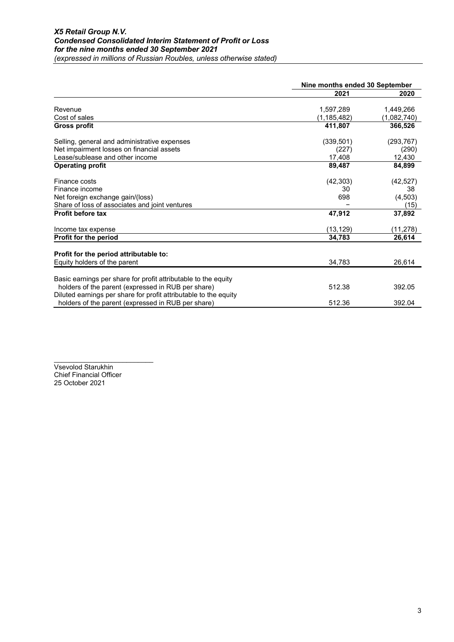|                                                                  |             | Nine months ended 30 September |  |  |
|------------------------------------------------------------------|-------------|--------------------------------|--|--|
|                                                                  | 2021        | 2020                           |  |  |
|                                                                  |             |                                |  |  |
| Revenue                                                          | 1,597,289   | 1,449,266                      |  |  |
| Cost of sales                                                    | (1,185,482) | (1,082,740)                    |  |  |
| Gross profit                                                     | 411,807     | 366,526                        |  |  |
| Selling, general and administrative expenses                     | (339, 501)  | (293, 767)                     |  |  |
| Net impairment losses on financial assets                        | (227)       | (290)                          |  |  |
| Lease/sublease and other income                                  | 17,408      | 12,430                         |  |  |
| <b>Operating profit</b>                                          | 89,487      | 84,899                         |  |  |
| Finance costs                                                    | (42, 303)   | (42, 527)                      |  |  |
| Finance income                                                   | 30          | 38                             |  |  |
| Net foreign exchange gain/(loss)                                 | 698         | (4,503)                        |  |  |
| Share of loss of associates and joint ventures                   |             | (15)                           |  |  |
| <b>Profit before tax</b>                                         | 47,912      | 37,892                         |  |  |
| Income tax expense                                               | (13, 129)   | (11,278)                       |  |  |
| Profit for the period                                            | 34,783      | 26,614                         |  |  |
| Profit for the period attributable to:                           |             |                                |  |  |
| Equity holders of the parent                                     | 34,783      |                                |  |  |
|                                                                  |             | 26,614                         |  |  |
| Basic earnings per share for profit attributable to the equity   |             |                                |  |  |
| holders of the parent (expressed in RUB per share)               | 512.38      | 392.05                         |  |  |
| Diluted earnings per share for profit attributable to the equity |             |                                |  |  |
| holders of the parent (expressed in RUB per share)               | 512.36      | 392.04                         |  |  |

\_\_\_\_\_\_\_\_\_\_\_\_\_\_\_\_\_\_\_\_\_\_\_\_\_\_ Vsevolod Starukhin Chief Financial Officer 25 October 2021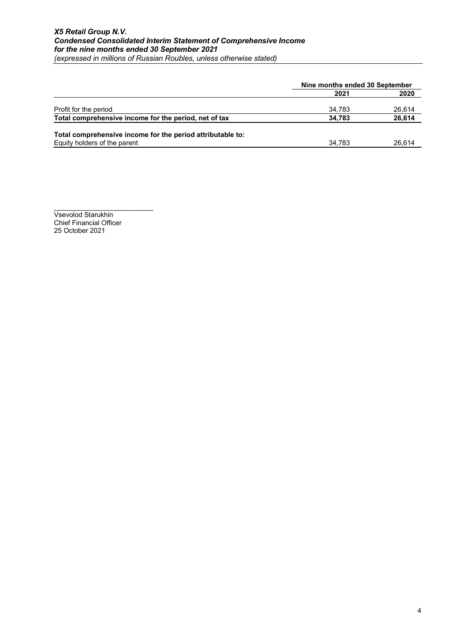|                                                            |        | Nine months ended 30 September |  |  |
|------------------------------------------------------------|--------|--------------------------------|--|--|
|                                                            | 2021   | 2020                           |  |  |
| Profit for the period                                      | 34.783 | 26,614                         |  |  |
| Total comprehensive income for the period, net of tax      | 34.783 | 26,614                         |  |  |
| Total comprehensive income for the period attributable to: |        |                                |  |  |
| Equity holders of the parent                               | 34.783 | 26,614                         |  |  |

Vsevolod Starukhin Chief Financial Officer 25 October 2021

\_\_\_\_\_\_\_\_\_\_\_\_\_\_\_\_\_\_\_\_\_\_\_\_\_\_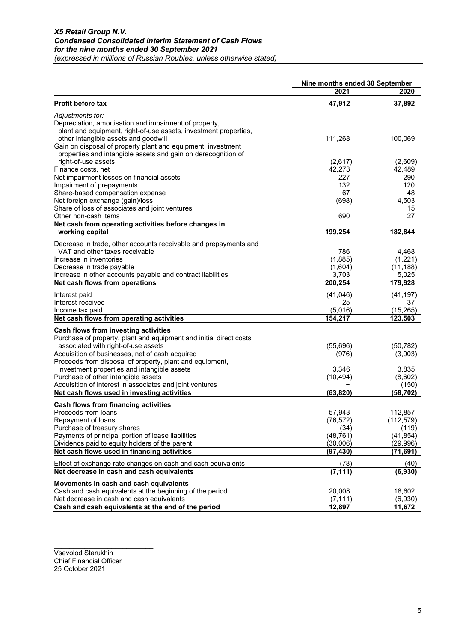|                                                                                                         | Nine months ended 30 September |                    |
|---------------------------------------------------------------------------------------------------------|--------------------------------|--------------------|
|                                                                                                         | 2021                           | 2020               |
| <b>Profit before tax</b>                                                                                | 47,912                         | 37,892             |
| Adjustments for:                                                                                        |                                |                    |
| Depreciation, amortisation and impairment of property,                                                  |                                |                    |
| plant and equipment, right-of-use assets, investment properties,                                        |                                |                    |
| other intangible assets and goodwill                                                                    | 111,268                        | 100,069            |
| Gain on disposal of property plant and equipment, investment                                            |                                |                    |
| properties and intangible assets and gain on derecognition of                                           |                                |                    |
| right-of-use assets                                                                                     | (2,617)                        | (2,609)            |
| Finance costs, net                                                                                      | 42,273                         | 42,489             |
| Net impairment losses on financial assets                                                               | 227                            | 290                |
| Impairment of prepayments                                                                               | 132<br>67                      | 120<br>48          |
| Share-based compensation expense<br>Net foreign exchange (gain)/loss                                    | (698)                          | 4,503              |
| Share of loss of associates and joint ventures                                                          |                                | 15                 |
| Other non-cash items                                                                                    | 690                            | 27                 |
| Net cash from operating activities before changes in                                                    |                                |                    |
| working capital                                                                                         | 199,254                        | 182,844            |
|                                                                                                         |                                |                    |
| Decrease in trade, other accounts receivable and prepayments and                                        |                                |                    |
| VAT and other taxes receivable                                                                          | 786                            | 4,468              |
| Increase in inventories                                                                                 | (1,885)                        | (1,221)            |
| Decrease in trade payable<br>Increase in other accounts payable and contract liabilities                | (1,604)                        | (11, 188)          |
| Net cash flows from operations                                                                          | 3,703<br>200,254               | 5,025<br>179,928   |
|                                                                                                         |                                |                    |
| Interest paid                                                                                           | (41,046)                       | (41, 197)          |
| Interest received                                                                                       | 25                             | 37                 |
| Income tax paid                                                                                         | (5,016)                        | (15, 265)          |
| Net cash flows from operating activities                                                                | 154,217                        | 123,503            |
| Cash flows from investing activities                                                                    |                                |                    |
| Purchase of property, plant and equipment and initial direct costs                                      |                                |                    |
| associated with right-of-use assets                                                                     | (55,696)                       | (50, 782)          |
| Acquisition of businesses, net of cash acquired                                                         | (976)                          | (3,003)            |
| Proceeds from disposal of property, plant and equipment,                                                |                                |                    |
| investment properties and intangible assets                                                             | 3,346                          | 3,835              |
| Purchase of other intangible assets                                                                     | (10, 494)                      | (8,602)            |
| Acquisition of interest in associates and joint ventures<br>Net cash flows used in investing activities |                                | (150)<br>(58, 702) |
|                                                                                                         | (63, 820)                      |                    |
| Cash flows from financing activities                                                                    |                                |                    |
| Proceeds from loans                                                                                     | 57,943                         | 112,857            |
| Repayment of loans                                                                                      | (76, 572)                      | (112, 579)         |
| Purchase of treasury shares                                                                             | (34)                           | (119)              |
| Payments of principal portion of lease liabilities                                                      | (48, 761)                      | (41, 854)          |
| Dividends paid to equity holders of the parent                                                          | (30,006)                       | (29, 996)          |
| Net cash flows used in financing activities                                                             | (97, 430)                      | (71, 691)          |
| Effect of exchange rate changes on cash and cash equivalents                                            | (78)                           | (40)               |
| Net decrease in cash and cash equivalents                                                               | (7, 111)                       | (6, 930)           |
| Movements in cash and cash equivalents                                                                  |                                |                    |
| Cash and cash equivalents at the beginning of the period                                                | 20,008                         | 18,602             |
| Net decrease in cash and cash equivalents                                                               | (7, 111)                       | (6,930)            |
| Cash and cash equivalents at the end of the period                                                      | 12,897                         | 11,672             |

Vsevolod Starukhin Chief Financial Officer 25 October 2021

\_\_\_\_\_\_\_\_\_\_\_\_\_\_\_\_\_\_\_\_\_\_\_\_\_\_